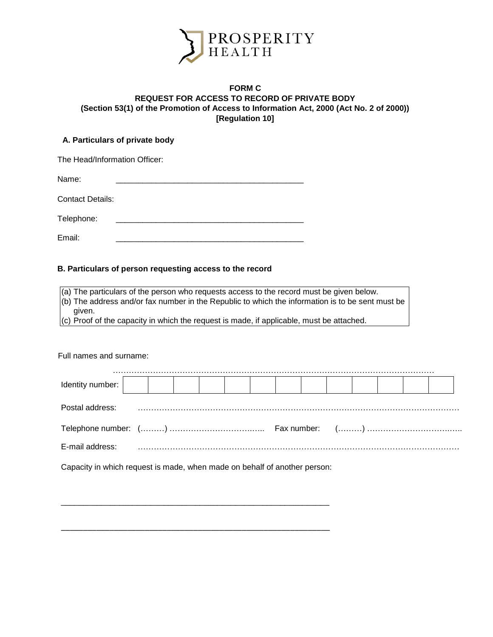

# **FORM C REQUEST FOR ACCESS TO RECORD OF PRIVATE BODY (Section 53(1) of the Promotion of Access to Information Act, 2000 (Act No. 2 of 2000)) [Regulation 10]**

# **A. Particulars of private body**

| The Head/Information Officer: |  |
|-------------------------------|--|
| Name:                         |  |
| <b>Contact Details:</b>       |  |
| Telephone:                    |  |
| Email:                        |  |

### **B. Particulars of person requesting access to the record**

(a) The particulars of the person who requests access to the record must be given below.

(b) The address and/or fax number in the Republic to which the information is to be sent must be given.

 $(c)$  Proof of the capacity in which the request is made, if applicable, must be attached.

Full names and surname:

| Identity number: |  |  |  |  |  |  |  |
|------------------|--|--|--|--|--|--|--|
| Postal address:  |  |  |  |  |  |  |  |
|                  |  |  |  |  |  |  |  |
| E-mail address:  |  |  |  |  |  |  |  |

Capacity in which request is made, when made on behalf of another person:

\_\_\_\_\_\_\_\_\_\_\_\_\_\_\_\_\_\_\_\_\_\_\_\_\_\_\_\_\_\_\_\_\_\_\_\_\_\_\_\_\_\_\_\_\_\_\_\_\_\_\_\_\_\_\_\_\_\_\_\_

\_\_\_\_\_\_\_\_\_\_\_\_\_\_\_\_\_\_\_\_\_\_\_\_\_\_\_\_\_\_\_\_\_\_\_\_\_\_\_\_\_\_\_\_\_\_\_\_\_\_\_\_\_\_\_\_\_\_\_\_\_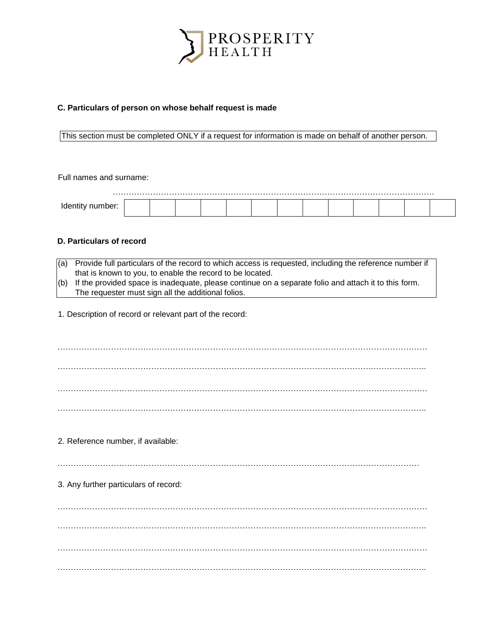

### **C. Particulars of person on whose behalf request is made**

This section must be completed ONLY if a request for information is made on behalf of another person.

Full names and surname:

### **D. Particulars of record**

- (a) Provide full particulars of the record to which access is requested, including the reference number if that is known to you, to enable the record to be located.
- (b) If the provided space is inadequate, please continue on a separate folio and attach it to this form. The requester must sign all the additional folios.

1. Description of record or relevant part of the record:

………………………………………………………………………………………………………………………… ……………………………………………………………………………………………………….……………….. ………………………………………………………………………………………………………………………… …………………………………………………………………………………………………….…………………..

2. Reference number, if available:

………………………………………………………………………………………………………………………

3. Any further particulars of record:

………………………………………………………………………………………………………………………… …………………………………………………………………………………………………….………………….. ………………………………………………………………………………………………………………………… …………………………………………………………………………………………………….…………………..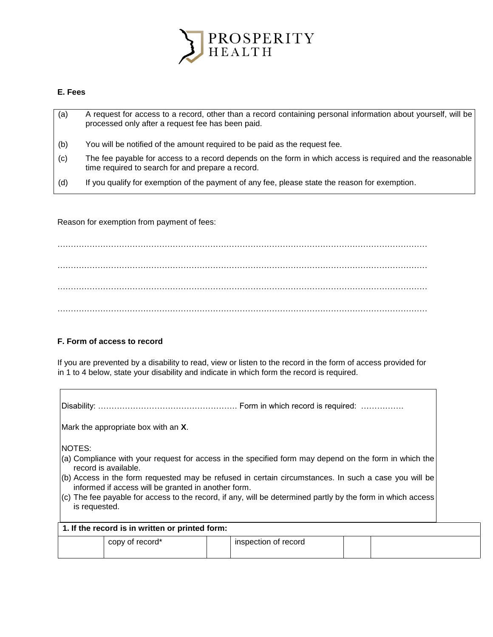

## **E. Fees**

- (a) A request for access to a record, other than a record containing personal information about yourself, will be processed only after a request fee has been paid.
- (b) You will be notified of the amount required to be paid as the request fee.
- (c) The fee payable for access to a record depends on the form in which access is required and the reasonable time required to search for and prepare a record.
- (d) If you qualify for exemption of the payment of any fee, please state the reason for exemption.

Reason for exemption from payment of fees:

………………………………………………………………………………………………………………………… . The contract of the contract of the contract of the contract of the contract of the contract of the contract of the contract of the contract of the contract of the contract of the contract of the contract of the contrac ………………………………………………………………………………………………………………………… …………………………………………………………………………………………………………………………

# **F. Form of access to record**

If you are prevented by a disability to read, view or listen to the record in the form of access provided for in 1 to 4 below, state your disability and indicate in which form the record is required.

Disability: ……………………………………………. Form in which record is required: …………….

Mark the appropriate box with an **X**.

NOTES:

- (a) Compliance with your request for access in the specified form may depend on the form in which the record is available.
- (b) Access in the form requested may be refused in certain circumstances. In such a case you will be informed if access will be granted in another form.
- (c) The fee payable for access to the record, if any, will be determined partly by the form in which access is requested.

| 1. If the record is in written or printed form: |                 |  |                      |  |  |  |  |  |  |
|-------------------------------------------------|-----------------|--|----------------------|--|--|--|--|--|--|
|                                                 | copy of record* |  | inspection of record |  |  |  |  |  |  |
|                                                 |                 |  |                      |  |  |  |  |  |  |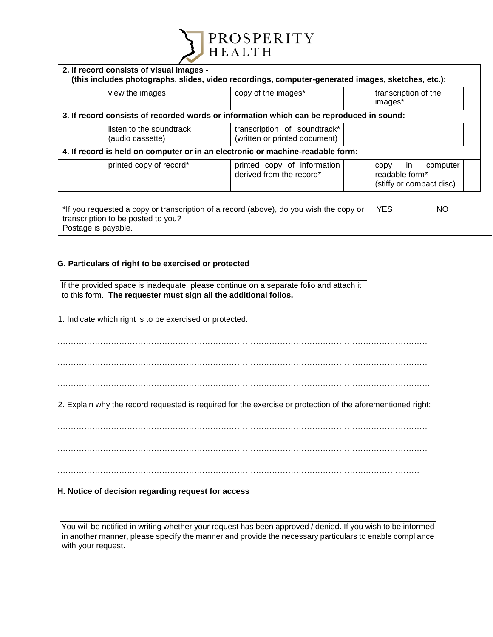

| 2. If record consists of visual images -     | (this includes photographs, slides, video recordings, computer-generated images, sketches, etc.): |                                                                       |
|----------------------------------------------|---------------------------------------------------------------------------------------------------|-----------------------------------------------------------------------|
| view the images                              | copy of the images*                                                                               | transcription of the<br>images*                                       |
|                                              | 3. If record consists of recorded words or information which can be reproduced in sound:          |                                                                       |
| listen to the soundtrack<br>(audio cassette) | transcription of soundtrack*<br>(written or printed document)                                     |                                                                       |
|                                              | 4. If record is held on computer or in an electronic or machine-readable form:                    |                                                                       |
| printed copy of record*                      | printed copy of information<br>derived from the record*                                           | -in<br>computer<br>CODV<br>readable form*<br>(stiffy or compact disc) |

| *If you requested a copy or transcription of a record (above), do you wish the copy or | <b>YES</b> | <b>NO</b> |
|----------------------------------------------------------------------------------------|------------|-----------|
| transcription to be posted to you?                                                     |            |           |
| Postage is payable.                                                                    |            |           |

# **G. Particulars of right to be exercised or protected**

If the provided space is inadequate, please continue on a separate folio and attach it to this form. **The requester must sign all the additional folios.** 

1. Indicate which right is to be exercised or protected:

…………………………………………………………………………………………………………………………

…………………………………………………………………………………………………………………………

………………………………………………………………………………………………………………………….

2. Explain why the record requested is required for the exercise or protection of the aforementioned right:

…………………………………………………………………………………………………………………………

………………………………………………………………………………………………………………………

# **H. Notice of decision regarding request for access**

You will be notified in writing whether your request has been approved / denied. If you wish to be informed in another manner, please specify the manner and provide the necessary particulars to enable compliance with your request.